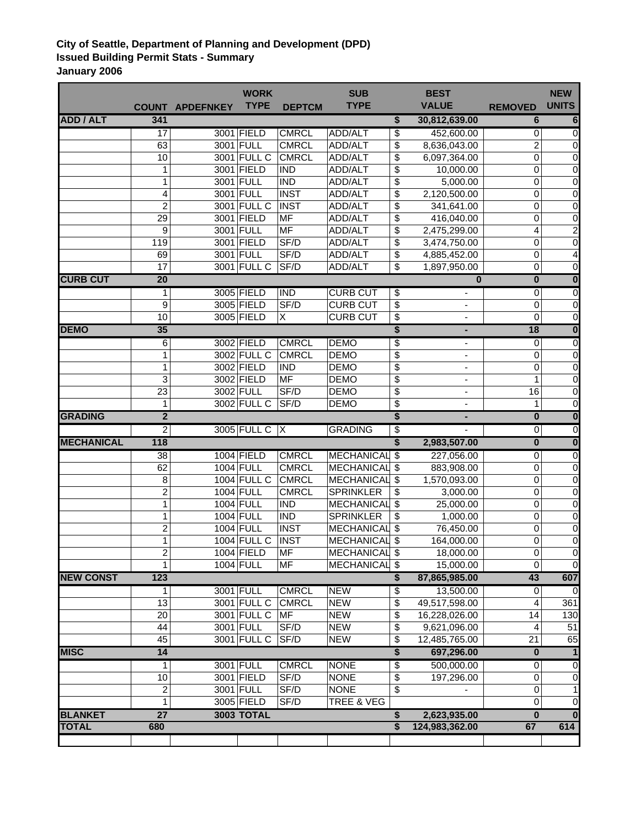## **City of Seattle, Department of Planning and Development (DPD) Issued Building Permit Stats - Summary January 2006**

|                   |                              |                        | <b>WORK</b>              |                              | <b>SUB</b>                         |                           | <b>BEST</b>                   |                         | <b>NEW</b>                  |
|-------------------|------------------------------|------------------------|--------------------------|------------------------------|------------------------------------|---------------------------|-------------------------------|-------------------------|-----------------------------|
|                   |                              | <b>COUNT APDEFNKEY</b> | <b>TYPE</b>              | <b>DEPTCM</b>                | <b>TYPE</b>                        |                           | <b>VALUE</b>                  | <b>REMOVED</b>          | <b>UNITS</b>                |
| <b>ADD / ALT</b>  | 341                          |                        |                          |                              |                                    | \$                        | 30,812,639.00                 | 6                       | 6                           |
|                   | $\overline{17}$              |                        | 3001 FIELD               | <b>CMRCL</b>                 | <b>ADD/ALT</b>                     | \$                        | 452,600.00                    | 0                       | $\overline{0}$              |
|                   | 63                           |                        | 3001 FULL                | <b>CMRCL</b>                 | ADD/ALT                            | \$                        | 8,636,043.00                  | 2                       | 0                           |
|                   | 10                           |                        | 3001 FULL C              | <b>CMRCL</b>                 | ADD/ALT                            | \$                        | 6,097,364.00                  | $\mathbf 0$             | $\pmb{0}$                   |
|                   | 1                            |                        | 3001 FIELD               | <b>IND</b>                   | ADD/ALT                            | \$                        | 10,000.00                     | 0                       | $\overline{0}$              |
|                   | 1                            |                        | 3001 FULL                | <b>IND</b>                   | ADD/ALT                            | \$                        | 5,000.00                      | 0                       | $\overline{0}$              |
|                   | 4                            |                        | 3001 FULL                | <b>INST</b>                  | ADD/ALT                            | \$                        | 2,120,500.00                  | 0                       | $\pmb{0}$                   |
|                   | 2                            |                        | 3001 FULL C              | <b>INST</b>                  | ADD/ALT                            | \$                        | 341,641.00                    | 0                       | $\pmb{0}$                   |
|                   | 29                           |                        | 3001 FIELD               | MF                           | ADD/ALT                            | \$                        | 416,040.00                    | 0                       | $\pmb{0}$                   |
|                   | 9                            |                        | 3001 FULL                | <b>MF</b>                    | ADD/ALT                            | \$                        | 2,475,299.00                  | $\overline{\mathbf{4}}$ | $\overline{2}$              |
|                   | 119                          |                        | 3001 FIELD               | SF/D                         | ADD/ALT                            | \$                        | 3,474,750.00                  | $\mathbf 0$             | $\boldsymbol{0}$            |
|                   | 69                           |                        | 3001 FULL                | SF/D                         | ADD/ALT                            | \$                        | 4,885,452.00                  | $\mathbf 0$             | 4                           |
|                   | 17                           |                        | 3001 FULL C              | SF/D                         | ADD/ALT                            | \$                        | 1,897,950.00                  | $\mathbf 0$             | $\overline{0}$              |
| <b>CURB CUT</b>   | $\overline{20}$              |                        |                          |                              |                                    |                           | $\bf{0}$                      | $\overline{\mathbf{0}}$ | $\overline{\mathbf{0}}$     |
|                   | 1                            |                        | 3005 FIELD               | <b>IND</b>                   | <b>CURB CUT</b>                    | \$                        | ۰                             | $\mathbf 0$             | $\overline{0}$              |
|                   | 9                            |                        | 3005 FIELD               | SF/D                         | <b>CURB CUT</b>                    | \$                        | $\qquad \qquad \blacksquare$  | $\mathbf 0$             | $\pmb{0}$                   |
|                   | $\overline{10}$              |                        | 3005 FIELD               | X                            | <b>CURB CUT</b>                    | \$                        |                               | $\mathbf 0$             | $\overline{\mathsf{o}}$     |
| <b>DEMO</b>       | 35                           |                        |                          |                              |                                    | \$                        | ٠                             | 18                      | $\overline{\mathbf{0}}$     |
|                   | 6                            |                        | 3002 FIELD               | <b>CMRCL</b>                 | <b>DEMO</b>                        | \$                        | -                             | 0                       | $\overline{\mathsf{o}}$     |
|                   | 1                            |                        | 3002 FULL C              | <b>CMRCL</b>                 | <b>DEMO</b>                        | \$                        |                               | 0                       | $\pmb{0}$                   |
|                   | 1                            |                        | 3002 FIELD               | <b>IND</b>                   | <b>DEMO</b>                        | \$                        |                               | $\mathbf 0$             | $\mathbf 0$                 |
|                   | 3                            |                        | 3002 FIELD               | <b>MF</b>                    | <b>DEMO</b>                        | \$                        | $\overline{\phantom{a}}$      | 1                       | $\boldsymbol{0}$            |
|                   | 23                           |                        | 3002 FULL                | SF/D                         | <b>DEMO</b>                        | $\overline{\mathcal{S}}$  | $\overline{\phantom{a}}$      | 16                      | $\boldsymbol{0}$            |
|                   | 1                            |                        | 3002 FULL C              | SF/D                         | <b>DEMO</b>                        | $\overline{\$}$           |                               | 1                       | $\mathbf 0$                 |
| <b>GRADING</b>    | $\overline{2}$               |                        |                          |                              |                                    | \$                        |                               | $\overline{\mathbf{0}}$ | $\overline{\mathbf{0}}$     |
|                   | $\overline{2}$               |                        | 3005 FULL C   X          |                              | <b>GRADING</b>                     | \$                        |                               | $\overline{0}$          | $\overline{0}$              |
| <b>MECHANICAL</b> | 118                          |                        |                          |                              |                                    | \$                        | 2,983,507.00                  | $\overline{\mathbf{0}}$ | $\overline{\mathbf{0}}$     |
|                   | $\overline{38}$              |                        | 1004 FIELD               | <b>CMRCL</b>                 | <b>MECHANICAL</b>                  | $\overline{\mathfrak{s}}$ | 227,056.00                    | $\mathbf 0$             | $\overline{0}$              |
|                   | 62                           |                        | 1004 FULL                | <b>CMRCL</b>                 | <b>MECHANICAL</b>                  | \$                        | 883,908.00                    | $\mathbf 0$             | $\overline{0}$              |
|                   | 8                            |                        | 1004 FULL C              | <b>CMRCL</b>                 | <b>MECHANICAL \$</b>               |                           | 1,570,093.00                  | $\mathbf 0$             | $\overline{0}$              |
|                   | $\overline{2}$               |                        | 1004 FULL                | <b>CMRCL</b>                 | <b>SPRINKLER</b>                   | \$                        | 3,000.00                      | $\mathbf 0$             | $\mathbf 0$                 |
|                   | 1                            |                        | 1004 FULL                | <b>IND</b>                   | <b>MECHANICAL</b>                  | \$                        | 25,000.00                     | $\mathbf 0$             | $\boldsymbol{0}$            |
|                   | 1                            |                        | 1004 FULL                | <b>IND</b>                   | <b>SPRINKLER</b>                   | \$                        | 1,000.00                      | 0                       | $\pmb{0}$                   |
|                   | $\overline{2}$               |                        | 1004 FULL                | <b>INST</b>                  | <b>MECHANICAL</b>                  | \$                        | 76,450.00                     | $\mathbf 0$             | $\mathbf 0$                 |
|                   | 1                            |                        | 1004 FULL C              | <b>INST</b><br><b>MF</b>     | <b>MECHANICAL</b><br>MECHANICAL \$ | \$                        | 164,000.00                    | 0                       | $\pmb{0}$<br>$\overline{0}$ |
|                   | $\overline{\mathbf{c}}$<br>1 |                        | 1004 FIELD<br>1004 FULL  | <b>MF</b>                    | <b>MECHANICAL \$</b>               |                           | 18,000.00<br>15,000.00        | 0<br>0                  | $\overline{0}$              |
| <b>NEW CONST</b>  | 123                          |                        |                          |                              |                                    | \$                        | 87,865,985.00                 | 43                      | 607                         |
|                   |                              |                        |                          |                              |                                    |                           |                               |                         |                             |
|                   | 1<br>13                      |                        | 3001 FULL<br>3001 FULL C | <b>CMRCL</b><br><b>CMRCL</b> | <b>NEW</b><br><b>NEW</b>           | \$<br>\$                  | 13,500.00<br>49,517,598.00    | 0                       | 0<br>361                    |
|                   | 20                           |                        | 3001 FULL C              | MF                           | <b>NEW</b>                         | \$                        |                               | 4<br>14                 |                             |
|                   | 44                           |                        | 3001 FULL                | SF/D                         | <b>NEW</b>                         | \$                        | 16,228,026.00<br>9,621,096.00 | 4                       | 130<br>51                   |
|                   | 45                           |                        | 3001 FULL C              | SF/D                         | <b>NEW</b>                         | \$                        | 12,485,765.00                 | 21                      | 65                          |
| <b>MISC</b>       | 14                           |                        |                          |                              |                                    | \$                        | 697,296.00                    | $\overline{\mathbf{0}}$ | $\overline{1}$              |
|                   | 1                            |                        | 3001 FULL                | <b>CMRCL</b>                 | <b>NONE</b>                        |                           | 500,000.00                    | $\mathbf 0$             | O                           |
|                   | 10                           |                        | 3001 FIELD               | SF/D                         | <b>NONE</b>                        | \$                        | 197,296.00                    | 0                       | $\pmb{0}$                   |
|                   | 2                            |                        | 3001 FULL                | SF/D                         | <b>NONE</b>                        | \$<br>\$                  |                               | 0                       | 1                           |
|                   | 1                            |                        | 3005 FIELD               | SF/D                         | TREE & VEG                         |                           |                               | 0                       | $\mathbf 0$                 |
| <b>BLANKET</b>    | $\overline{27}$              |                        | <b>3003 TOTAL</b>        |                              |                                    | \$                        | 2,623,935.00                  | $\bf{0}$                | $\bf{0}$                    |
| <b>TOTAL</b>      | 680                          |                        |                          |                              |                                    | \$                        | 124,983,362.00                | 67                      | 614                         |
|                   |                              |                        |                          |                              |                                    |                           |                               |                         |                             |
|                   |                              |                        |                          |                              |                                    |                           |                               |                         |                             |